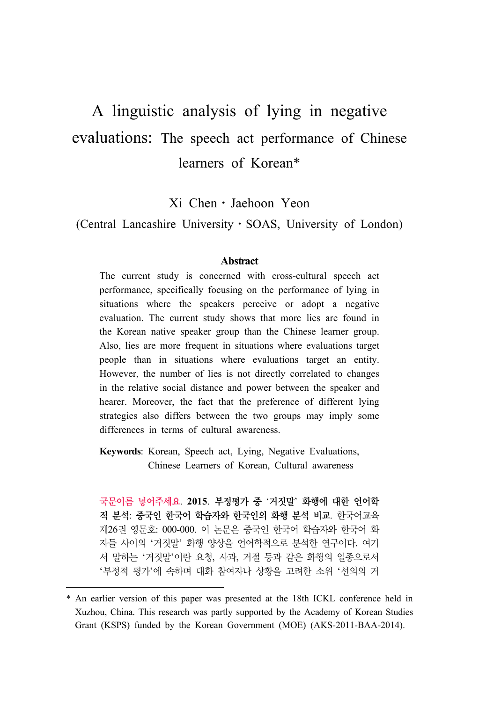# A linguistic analysis of lying in negative evaluations: The speech act performance of Chinese learners of Korean\*

Xi Chen⋅Jaehoon Yeon

(Central Lancashire University⋅SOAS, University of London)

#### **Abstract**

The current study is concerned with cross-cultural speech act performance, specifically focusing on the performance of lying in situations where the speakers perceive or adopt a negative evaluation. The current study shows that more lies are found in the Korean native speaker group than the Chinese learner group. Also, lies are more frequent in situations where evaluations target people than in situations where evaluations target an entity. However, the number of lies is not directly correlated to changes in the relative social distance and power between the speaker and hearer. Moreover, the fact that the preference of different lying strategies also differs between the two groups may imply some differences in terms of cultural awareness.

**Keywords**: Korean, Speech act, Lying, Negative Evaluations, Chinese Learners of Korean, Cultural awareness

국문이름 넣어주세요. **2015**. 부정평가 중 '거짓말' 화행에 대한 언어학 적 분석: 중국인 한국어 학습자와 한국인의 화행 분석 비교. 한국어교육 제26권 영문호: 000-000. 이 논문은 중국인 한국어 학습자와 한국어 화 자들 사이의 '거짓말' 화행 양상을 언어학적으로 분석한 연구이다. 여기 서 말하는 '거짓말'이란 요청, 사과, 거절 등과 같은 화행의 일종으로서 '부정적 평가'에 속하며 대화 참여자나 상황을 고려한 소위 '선의의 거

<sup>\*</sup> An earlier version of this paper was presented at the 18th ICKL conference held in Xuzhou, China. This research was partly supported by the Academy of Korean Studies Grant (KSPS) funded by the Korean Government (MOE) (AKS-2011-BAA-2014).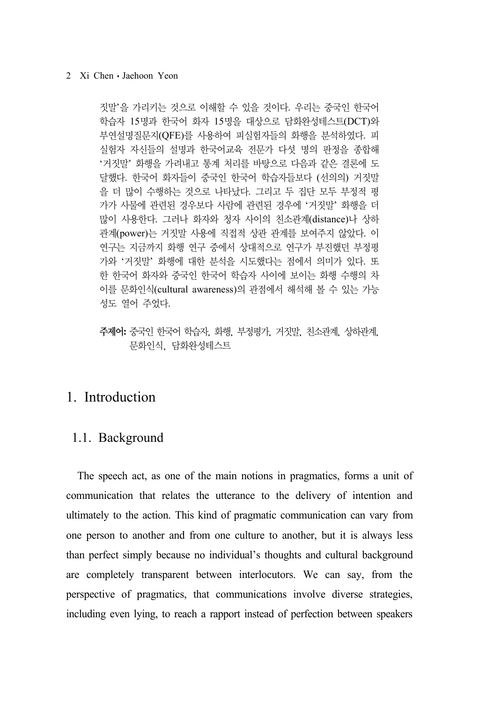짓말'을 가리키는 것으로 이해할 수 있을 것이다. 우리는 중국인 한국어 학습자 15명과 한국어 화자 15명을 대상으로 담화완성테스트(DCT)와 부연설명질문지(QFE)를 사용하여 피실험자들의 화행을 분석하였다. 피 실험자 자신들의 설명과 한국어교육 전문가 다섯 명의 판정을 종합해 '거짓말' 화행을 가려내고 통계 처리를 바탕으로 다음과 같은 결론에 도 달했다. 한국어 화자들이 중국인 한국어 학습자들보다 (선의의) 거짓말 을 더 많이 수행하는 것으로 나타났다. 그리고 두 집단 모두 부정적 평 가가 사물에 관련된 경우보다 사람에 관련된 경우에 '거짓말' 화행을 더 많이 사용한다. 그러나 화자와 청자 사이의 친소관계(distance)나 상하 관계(power)는 거짓말 사용에 직접적 상관 관계를 보여주지 않았다. 이 연구는 지금까지 화행 연구 중에서 상대적으로 연구가 부진했던 부정평 가와 '거짓말' 화행에 대한 분석을 시도했다는 점에서 의미가 있다. 또 한 한국어 화자와 중국인 한국어 학습자 사이에 보이는 화행 수행의 차 이를 문화인식(cultural awareness)의 관점에서 해석해 볼 수 있는 가능 성도 열어 주었다.

주제어**:** 중국인 한국어 학습자, 화행, 부정평가, 거짓말, 친소관계, 상하관계, 문화인식, 담화완성테스트

## 1. Introduction

### 1.1. Background

The speech act, as one of the main notions in pragmatics, forms a unit of communication that relates the utterance to the delivery of intention and ultimately to the action. This kind of pragmatic communication can vary from one person to another and from one culture to another, but it is always less than perfect simply because no individual's thoughts and cultural background are completely transparent between interlocutors. We can say, from the perspective of pragmatics, that communications involve diverse strategies, including even lying, to reach a rapport instead of perfection between speakers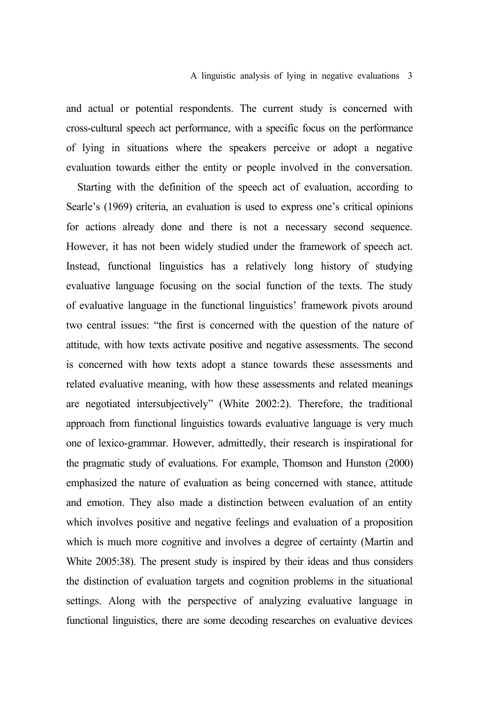### A linguistic analysis of lying in negative evaluations 3

and actual or potential respondents. The current study is concerned with cross-cultural speech act performance, with a specific focus on the performance of lying in situations where the speakers perceive or adopt a negative evaluation towards either the entity or people involved in the conversation.

Starting with the definition of the speech act of evaluation, according to Searle's (1969) criteria, an evaluation is used to express one's critical opinions for actions already done and there is not a necessary second sequence. However, it has not been widely studied under the framework of speech act. Instead, functional linguistics has a relatively long history of studying evaluative language focusing on the social function of the texts. The study of evaluative language in the functional linguistics' framework pivots around two central issues: "the first is concerned with the question of the nature of attitude, with how texts activate positive and negative assessments. The second is concerned with how texts adopt a stance towards these assessments and related evaluative meaning, with how these assessments and related meanings are negotiated intersubjectively" (White 2002:2). Therefore, the traditional approach from functional linguistics towards evaluative language is very much one of lexico-grammar. However, admittedly, their research is inspirational for the pragmatic study of evaluations. For example, Thomson and Hunston (2000) emphasized the nature of evaluation as being concerned with stance, attitude and emotion. They also made a distinction between evaluation of an entity which involves positive and negative feelings and evaluation of a proposition which is much more cognitive and involves a degree of certainty (Martin and White 2005:38). The present study is inspired by their ideas and thus considers the distinction of evaluation targets and cognition problems in the situational settings. Along with the perspective of analyzing evaluative language in functional linguistics, there are some decoding researches on evaluative devices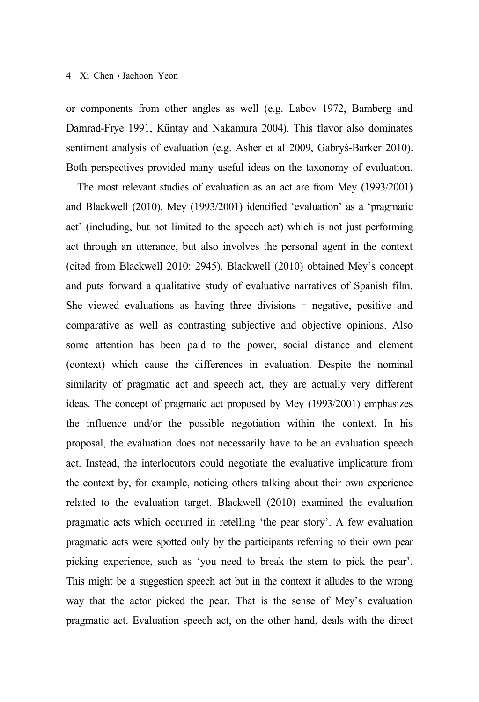or components from other angles as well (e.g. Labov 1972, Bamberg and Damrad-Frye 1991, Küntay and Nakamura 2004). This flavor also dominates sentiment analysis of evaluation (e.g. Asher et al 2009, Gabryś-Barker 2010). Both perspectives provided many useful ideas on the taxonomy of evaluation.

The most relevant studies of evaluation as an act are from Mey (1993/2001) and Blackwell (2010). Mey (1993/2001) identified 'evaluation' as a 'pragmatic act' (including, but not limited to the speech act) which is not just performing act through an utterance, but also involves the personal agent in the context (cited from Blackwell 2010: 2945). Blackwell (2010) obtained Mey's concept and puts forward a qualitative study of evaluative narratives of Spanish film. She viewed evaluations as having three divisions – negative, positive and comparative as well as contrasting subjective and objective opinions. Also some attention has been paid to the power, social distance and element (context) which cause the differences in evaluation. Despite the nominal similarity of pragmatic act and speech act, they are actually very different ideas. The concept of pragmatic act proposed by Mey (1993/2001) emphasizes the influence and/or the possible negotiation within the context. In his proposal, the evaluation does not necessarily have to be an evaluation speech act. Instead, the interlocutors could negotiate the evaluative implicature from the context by, for example, noticing others talking about their own experience related to the evaluation target. Blackwell (2010) examined the evaluation pragmatic acts which occurred in retelling 'the pear story'. A few evaluation pragmatic acts were spotted only by the participants referring to their own pear picking experience, such as 'you need to break the stem to pick the pear'. This might be a suggestion speech act but in the context it alludes to the wrong way that the actor picked the pear. That is the sense of Mey's evaluation pragmatic act. Evaluation speech act, on the other hand, deals with the direct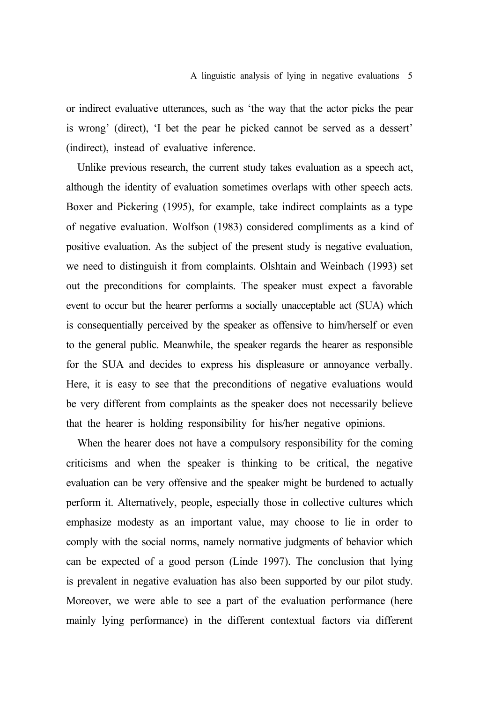or indirect evaluative utterances, such as 'the way that the actor picks the pear is wrong' (direct), 'I bet the pear he picked cannot be served as a dessert' (indirect), instead of evaluative inference.

Unlike previous research, the current study takes evaluation as a speech act, although the identity of evaluation sometimes overlaps with other speech acts. Boxer and Pickering (1995), for example, take indirect complaints as a type of negative evaluation. Wolfson (1983) considered compliments as a kind of positive evaluation. As the subject of the present study is negative evaluation, we need to distinguish it from complaints. Olshtain and Weinbach (1993) set out the preconditions for complaints. The speaker must expect a favorable event to occur but the hearer performs a socially unacceptable act (SUA) which is consequentially perceived by the speaker as offensive to him/herself or even to the general public. Meanwhile, the speaker regards the hearer as responsible for the SUA and decides to express his displeasure or annoyance verbally. Here, it is easy to see that the preconditions of negative evaluations would be very different from complaints as the speaker does not necessarily believe that the hearer is holding responsibility for his/her negative opinions.

When the hearer does not have a compulsory responsibility for the coming criticisms and when the speaker is thinking to be critical, the negative evaluation can be very offensive and the speaker might be burdened to actually perform it. Alternatively, people, especially those in collective cultures which emphasize modesty as an important value, may choose to lie in order to comply with the social norms, namely normative judgments of behavior which can be expected of a good person (Linde 1997). The conclusion that lying is prevalent in negative evaluation has also been supported by our pilot study. Moreover, we were able to see a part of the evaluation performance (here mainly lying performance) in the different contextual factors via different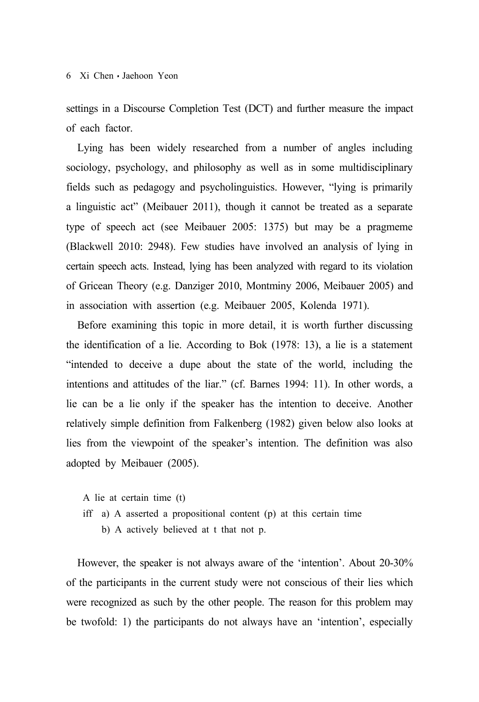settings in a Discourse Completion Test (DCT) and further measure the impact of each factor.

Lying has been widely researched from a number of angles including sociology, psychology, and philosophy as well as in some multidisciplinary fields such as pedagogy and psycholinguistics. However, "lying is primarily a linguistic act" (Meibauer 2011), though it cannot be treated as a separate type of speech act (see Meibauer 2005: 1375) but may be a pragmeme (Blackwell 2010: 2948). Few studies have involved an analysis of lying in certain speech acts. Instead, lying has been analyzed with regard to its violation of Gricean Theory (e.g. Danziger 2010, Montminy 2006, Meibauer 2005) and in association with assertion (e.g. Meibauer 2005, Kolenda 1971).

Before examining this topic in more detail, it is worth further discussing the identification of a lie. According to Bok (1978: 13), a lie is a statement "intended to deceive a dupe about the state of the world, including the intentions and attitudes of the liar." (cf. Barnes 1994: 11). In other words, a lie can be a lie only if the speaker has the intention to deceive. Another relatively simple definition from Falkenberg (1982) given below also looks at lies from the viewpoint of the speaker's intention. The definition was also adopted by Meibauer (2005).

A lie at certain time (t)

- iff a) A asserted a propositional content (p) at this certain time
	- b) A actively believed at t that not p.

However, the speaker is not always aware of the 'intention'. About 20-30% of the participants in the current study were not conscious of their lies which were recognized as such by the other people. The reason for this problem may be twofold: 1) the participants do not always have an 'intention', especially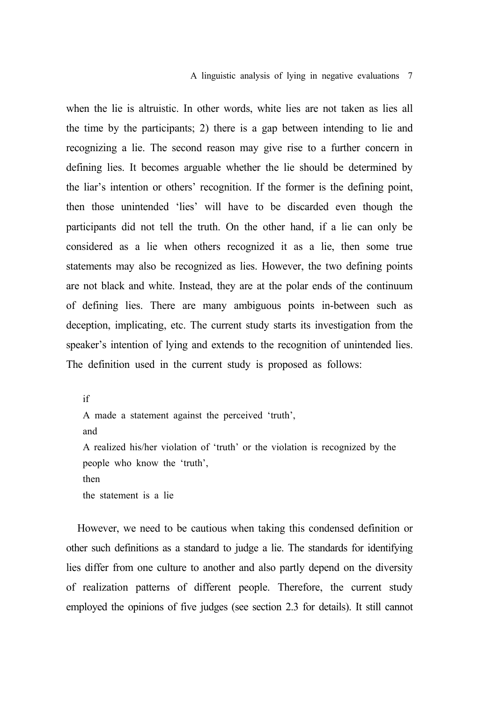#### A linguistic analysis of lying in negative evaluations 7

when the lie is altruistic. In other words, white lies are not taken as lies all the time by the participants; 2) there is a gap between intending to lie and recognizing a lie. The second reason may give rise to a further concern in defining lies. It becomes arguable whether the lie should be determined by the liar's intention or others' recognition. If the former is the defining point, then those unintended 'lies' will have to be discarded even though the participants did not tell the truth. On the other hand, if a lie can only be considered as a lie when others recognized it as a lie, then some true statements may also be recognized as lies. However, the two defining points are not black and white. Instead, they are at the polar ends of the continuum of defining lies. There are many ambiguous points in-between such as deception, implicating, etc. The current study starts its investigation from the speaker's intention of lying and extends to the recognition of unintended lies. The definition used in the current study is proposed as follows:

if A made a statement against the perceived 'truth', and A realized his/her violation of 'truth' or the violation is recognized by the people who know the 'truth', then the statement is a lie

However, we need to be cautious when taking this condensed definition or other such definitions as a standard to judge a lie. The standards for identifying lies differ from one culture to another and also partly depend on the diversity of realization patterns of different people. Therefore, the current study employed the opinions of five judges (see section 2.3 for details). It still cannot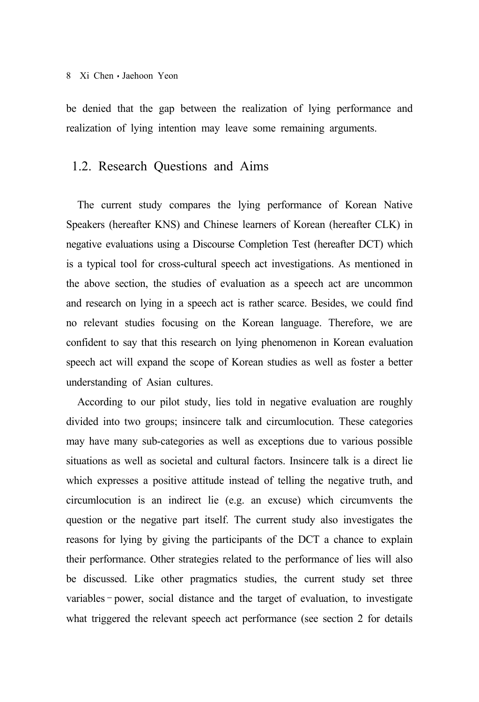be denied that the gap between the realization of lying performance and realization of lying intention may leave some remaining arguments.

### 1.2. Research Questions and Aims

The current study compares the lying performance of Korean Native Speakers (hereafter KNS) and Chinese learners of Korean (hereafter CLK) in negative evaluations using a Discourse Completion Test (hereafter DCT) which is a typical tool for cross-cultural speech act investigations. As mentioned in the above section, the studies of evaluation as a speech act are uncommon and research on lying in a speech act is rather scarce. Besides, we could find no relevant studies focusing on the Korean language. Therefore, we are confident to say that this research on lying phenomenon in Korean evaluation speech act will expand the scope of Korean studies as well as foster a better understanding of Asian cultures.

According to our pilot study, lies told in negative evaluation are roughly divided into two groups; insincere talk and circumlocution. These categories may have many sub-categories as well as exceptions due to various possible situations as well as societal and cultural factors. Insincere talk is a direct lie which expresses a positive attitude instead of telling the negative truth, and circumlocution is an indirect lie (e.g. an excuse) which circumvents the question or the negative part itself. The current study also investigates the reasons for lying by giving the participants of the DCT a chance to explain their performance. Other strategies related to the performance of lies will also be discussed. Like other pragmatics studies, the current study set three variables – power, social distance and the target of evaluation, to investigate what triggered the relevant speech act performance (see section 2 for details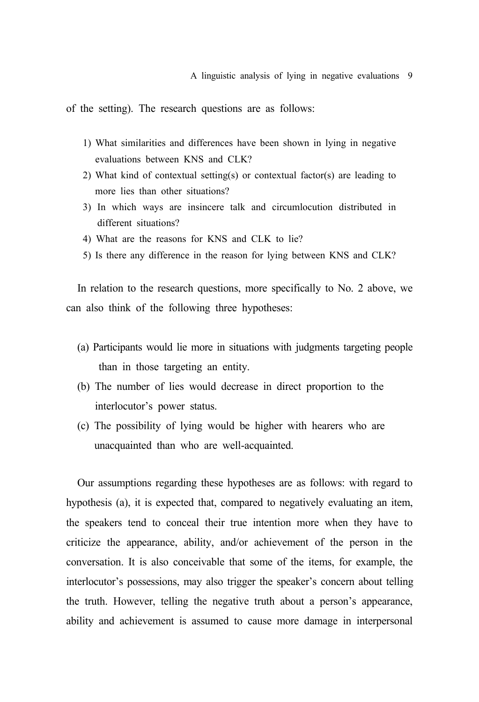A linguistic analysis of lying in negative evaluations 9

of the setting). The research questions are as follows:

- 1) What similarities and differences have been shown in lying in negative evaluations between KNS and CLK?
- 2) What kind of contextual setting(s) or contextual factor(s) are leading to more lies than other situations?
- 3) In which ways are insincere talk and circumlocution distributed in different situations?
- 4) What are the reasons for KNS and CLK to lie?
- 5) Is there any difference in the reason for lying between KNS and CLK?

In relation to the research questions, more specifically to No. 2 above, we can also think of the following three hypotheses:

- (a) Participants would lie more in situations with judgments targeting people than in those targeting an entity.
- (b) The number of lies would decrease in direct proportion to the interlocutor's power status.
- (c) The possibility of lying would be higher with hearers who are unacquainted than who are well-acquainted.

Our assumptions regarding these hypotheses are as follows: with regard to hypothesis (a), it is expected that, compared to negatively evaluating an item, the speakers tend to conceal their true intention more when they have to criticize the appearance, ability, and/or achievement of the person in the conversation. It is also conceivable that some of the items, for example, the interlocutor's possessions, may also trigger the speaker's concern about telling the truth. However, telling the negative truth about a person's appearance, ability and achievement is assumed to cause more damage in interpersonal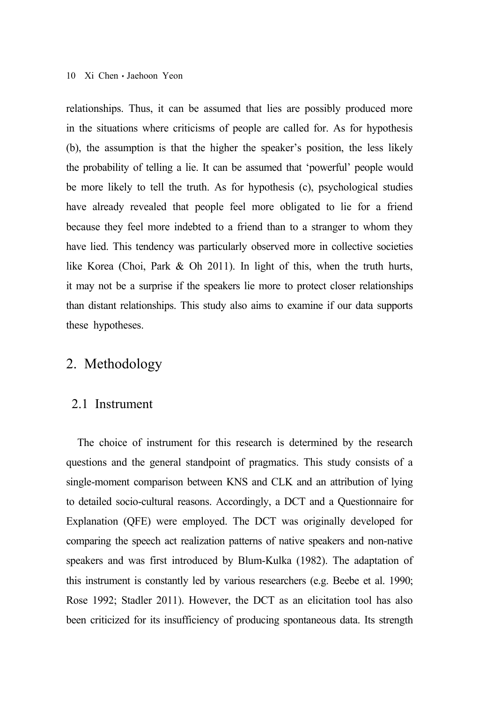relationships. Thus, it can be assumed that lies are possibly produced more in the situations where criticisms of people are called for. As for hypothesis (b), the assumption is that the higher the speaker's position, the less likely the probability of telling a lie. It can be assumed that 'powerful' people would be more likely to tell the truth. As for hypothesis (c), psychological studies have already revealed that people feel more obligated to lie for a friend because they feel more indebted to a friend than to a stranger to whom they have lied. This tendency was particularly observed more in collective societies like Korea (Choi, Park & Oh 2011). In light of this, when the truth hurts, it may not be a surprise if the speakers lie more to protect closer relationships than distant relationships. This study also aims to examine if our data supports these hypotheses.

## 2. Methodology

### 2.1 Instrument

The choice of instrument for this research is determined by the research questions and the general standpoint of pragmatics. This study consists of a single-moment comparison between KNS and CLK and an attribution of lying to detailed socio-cultural reasons. Accordingly, a DCT and a Questionnaire for Explanation (QFE) were employed. The DCT was originally developed for comparing the speech act realization patterns of native speakers and non-native speakers and was first introduced by Blum-Kulka (1982). The adaptation of this instrument is constantly led by various researchers (e.g. Beebe et al. 1990; Rose 1992; Stadler 2011). However, the DCT as an elicitation tool has also been criticized for its insufficiency of producing spontaneous data. Its strength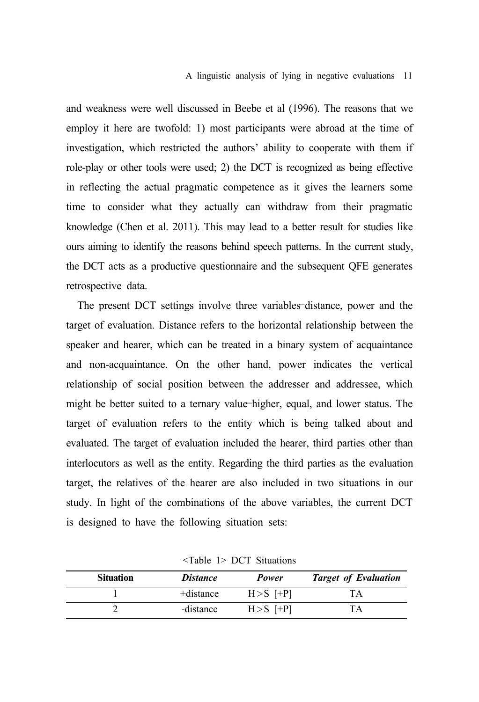#### A linguistic analysis of lying in negative evaluations 11

and weakness were well discussed in Beebe et al (1996). The reasons that we employ it here are twofold: 1) most participants were abroad at the time of investigation, which restricted the authors' ability to cooperate with them if role-play or other tools were used; 2) the DCT is recognized as being effective in reflecting the actual pragmatic competence as it gives the learners some time to consider what they actually can withdraw from their pragmatic knowledge (Chen et al. 2011). This may lead to a better result for studies like ours aiming to identify the reasons behind speech patterns. In the current study, the DCT acts as a productive questionnaire and the subsequent QFE generates retrospective data.

The present DCT settings involve three variables–distance, power and the target of evaluation. Distance refers to the horizontal relationship between the speaker and hearer, which can be treated in a binary system of acquaintance and non-acquaintance. On the other hand, power indicates the vertical relationship of social position between the addresser and addressee, which might be better suited to a ternary value–higher, equal, and lower status. The target of evaluation refers to the entity which is being talked about and evaluated. The target of evaluation included the hearer, third parties other than interlocutors as well as the entity. Regarding the third parties as the evaluation target, the relatives of the hearer are also included in two situations in our study. In light of the combinations of the above variables, the current DCT is designed to have the following situation sets:

| <b>Situation</b> | <i>Distance</i> | Power        | <b>Target of Evaluation</b> |
|------------------|-----------------|--------------|-----------------------------|
|                  | +distance       | $H > S$ [+P] | ľА                          |
|                  | -distance       | $H > S$ [+P] |                             |

<Table 1> DCT Situations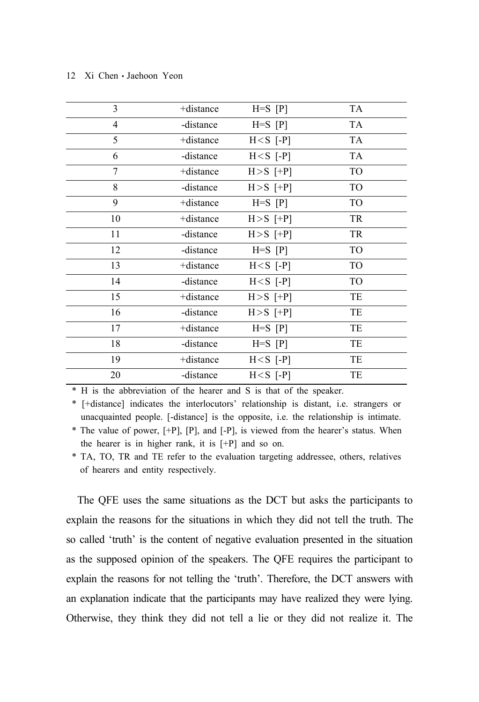| 3              | +distance | $H=S$ $[P]$  | TA             |
|----------------|-----------|--------------|----------------|
| $\overline{4}$ | -distance | $H=S$ $[P]$  | <b>TA</b>      |
| 5              | +distance | $H < S$ [-P] | TA             |
| 6              | -distance | $H < S$ [-P] | <b>TA</b>      |
| 7              | +distance | $H > S$ [+P] | <b>TO</b>      |
| 8              | -distance | $H > S$ [+P] | TO             |
| 9              | +distance | $H=S [P]$    | TO             |
| 10             | +distance | $H > S$ [+P] | TR             |
| 11             | -distance | $H > S$ [+P] | TR             |
| 12             | -distance | $H=S$ $[P]$  | <b>TO</b>      |
| 13             | +distance | $H < S$ [-P] | <b>TO</b>      |
| 14             | -distance | $H < S$ [-P] | T <sub>O</sub> |
| 15             | +distance | $H > S$ [+P] | TE             |
| 16             | -distance | $H > S$ [+P] | TE             |
| 17             | +distance | $H=S$ $[P]$  | TE             |
| 18             | -distance | $H=S$ $[P]$  | TE             |
| 19             | +distance | $H < S$ [-P] | TE             |
| 20             | -distance | $H < S$ [-P] | TE             |

\* H is the abbreviation of the hearer and S is that of the speaker.

\* [+distance] indicates the interlocutors' relationship is distant, i.e. strangers or unacquainted people. [-distance] is the opposite, i.e. the relationship is intimate.

\* The value of power, [+P], [P], and [-P], is viewed from the hearer's status. When the hearer is in higher rank, it is [+P] and so on.

\* TA, TO, TR and TE refer to the evaluation targeting addressee, others, relatives of hearers and entity respectively.

The QFE uses the same situations as the DCT but asks the participants to explain the reasons for the situations in which they did not tell the truth. The so called 'truth' is the content of negative evaluation presented in the situation as the supposed opinion of the speakers. The QFE requires the participant to explain the reasons for not telling the 'truth'. Therefore, the DCT answers with an explanation indicate that the participants may have realized they were lying. Otherwise, they think they did not tell a lie or they did not realize it. The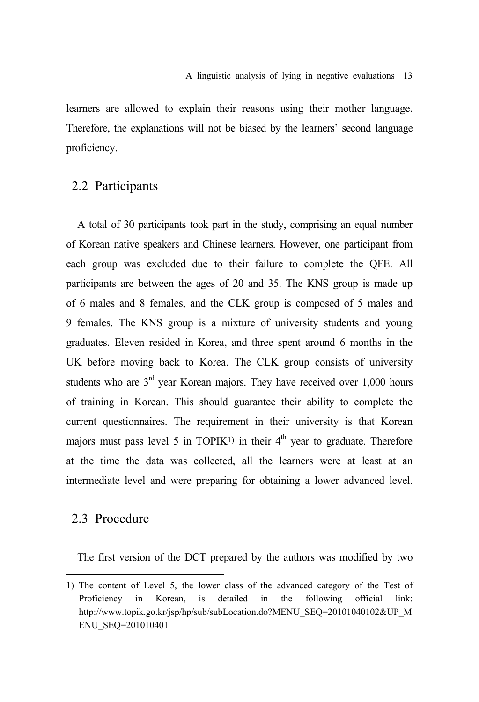learners are allowed to explain their reasons using their mother language. Therefore, the explanations will not be biased by the learners' second language proficiency.

### 2.2 Participants

A total of 30 participants took part in the study, comprising an equal number of Korean native speakers and Chinese learners. However, one participant from each group was excluded due to their failure to complete the QFE. All participants are between the ages of 20 and 35. The KNS group is made up of 6 males and 8 females, and the CLK group is composed of 5 males and 9 females. The KNS group is a mixture of university students and young graduates. Eleven resided in Korea, and three spent around 6 months in the UK before moving back to Korea. The CLK group consists of university students who are  $3<sup>rd</sup>$  year Korean majors. They have received over 1,000 hours of training in Korean. This should guarantee their ability to complete the current questionnaires. The requirement in their university is that Korean majors must pass level 5 in TOPIK<sup>1)</sup> in their  $4<sup>th</sup>$  year to graduate. Therefore at the time the data was collected, all the learners were at least at an intermediate level and were preparing for obtaining a lower advanced level.

### 2.3 Procedure

The first version of the DCT prepared by the authors was modified by two

<sup>1)</sup> The content of Level 5, the lower class of the advanced category of the Test of Proficiency in Korean, is detailed in the following official link: http://www.topik.go.kr/jsp/hp/sub/subLocation.do?MENU\_SEQ=20101040102&UP\_M ENU\_SEQ=201010401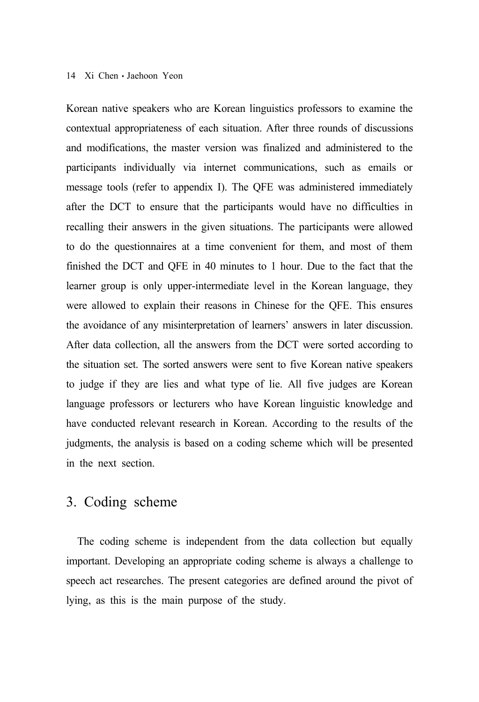Korean native speakers who are Korean linguistics professors to examine the contextual appropriateness of each situation. After three rounds of discussions and modifications, the master version was finalized and administered to the participants individually via internet communications, such as emails or message tools (refer to appendix I). The QFE was administered immediately after the DCT to ensure that the participants would have no difficulties in recalling their answers in the given situations. The participants were allowed to do the questionnaires at a time convenient for them, and most of them finished the DCT and QFE in 40 minutes to 1 hour. Due to the fact that the learner group is only upper-intermediate level in the Korean language, they were allowed to explain their reasons in Chinese for the QFE. This ensures the avoidance of any misinterpretation of learners' answers in later discussion. After data collection, all the answers from the DCT were sorted according to the situation set. The sorted answers were sent to five Korean native speakers to judge if they are lies and what type of lie. All five judges are Korean language professors or lecturers who have Korean linguistic knowledge and have conducted relevant research in Korean. According to the results of the judgments, the analysis is based on a coding scheme which will be presented in the next section.

# 3. Coding scheme

The coding scheme is independent from the data collection but equally important. Developing an appropriate coding scheme is always a challenge to speech act researches. The present categories are defined around the pivot of lying, as this is the main purpose of the study.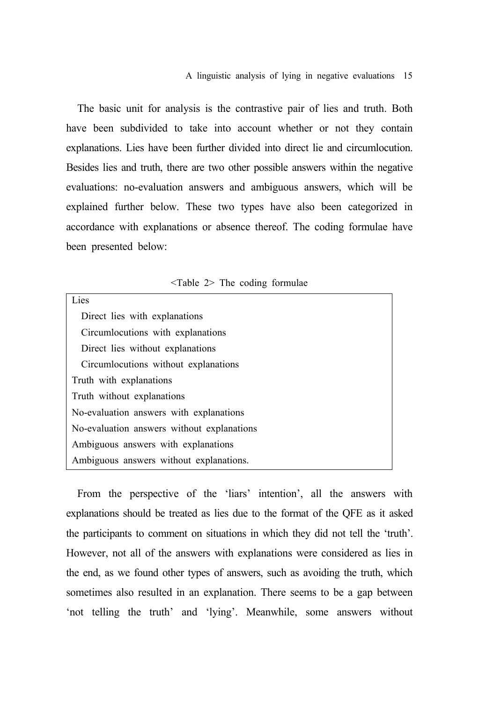The basic unit for analysis is the contrastive pair of lies and truth. Both have been subdivided to take into account whether or not they contain explanations. Lies have been further divided into direct lie and circumlocution. Besides lies and truth, there are two other possible answers within the negative evaluations: no-evaluation answers and ambiguous answers, which will be explained further below. These two types have also been categorized in accordance with explanations or absence thereof. The coding formulae have been presented below:

|  |  |  |  | <table 2=""> The coding formulae</table> |  |
|--|--|--|--|------------------------------------------|--|
|--|--|--|--|------------------------------------------|--|

| Lies                                       |
|--------------------------------------------|
| Direct lies with explanations              |
| Circumlocutions with explanations          |
| Direct lies without explanations           |
| Circumlocutions without explanations       |
| Truth with explanations                    |
| Truth without explanations                 |
| No-evaluation answers with explanations    |
| No-evaluation answers without explanations |
| Ambiguous answers with explanations        |
| Ambiguous answers without explanations.    |

From the perspective of the 'liars' intention', all the answers with explanations should be treated as lies due to the format of the QFE as it asked the participants to comment on situations in which they did not tell the 'truth'. However, not all of the answers with explanations were considered as lies in the end, as we found other types of answers, such as avoiding the truth, which sometimes also resulted in an explanation. There seems to be a gap between 'not telling the truth' and 'lying'. Meanwhile, some answers without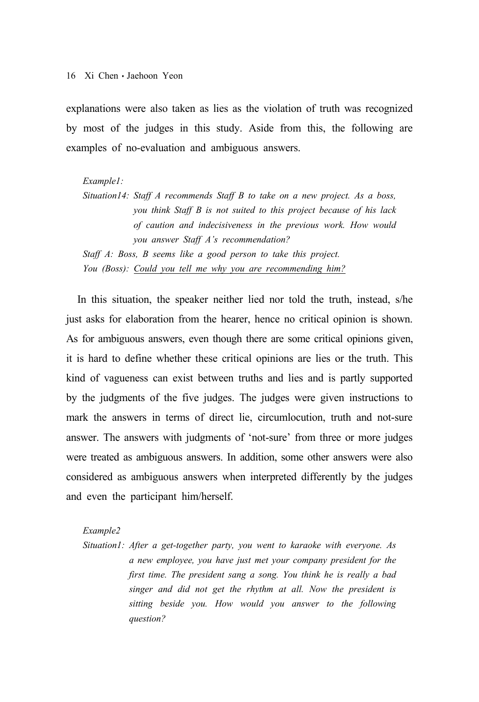explanations were also taken as lies as the violation of truth was recognized by most of the judges in this study. Aside from this, the following are examples of no-evaluation and ambiguous answers.

#### *Example1:*

*Situation14: Staff A recommends Staff B to take on a new project. As a boss, you think Staff B is not suited to this project because of his lack of caution and indecisiveness in the previous work. How would you answer Staff A's recommendation? Staff A: Boss, B seems like a good person to take this project.*

*You (Boss): Could you tell me why you are recommending him?*

In this situation, the speaker neither lied nor told the truth, instead, s/he just asks for elaboration from the hearer, hence no critical opinion is shown. As for ambiguous answers, even though there are some critical opinions given, it is hard to define whether these critical opinions are lies or the truth. This kind of vagueness can exist between truths and lies and is partly supported by the judgments of the five judges. The judges were given instructions to mark the answers in terms of direct lie, circumlocution, truth and not-sure answer. The answers with judgments of 'not-sure' from three or more judges were treated as ambiguous answers. In addition, some other answers were also considered as ambiguous answers when interpreted differently by the judges and even the participant him/herself.

#### *Example2*

*Situation1: After a get-together party, you went to karaoke with everyone. As a new employee, you have just met your company president for the first time. The president sang a song. You think he is really a bad singer and did not get the rhythm at all. Now the president is sitting beside you. How would you answer to the following question?*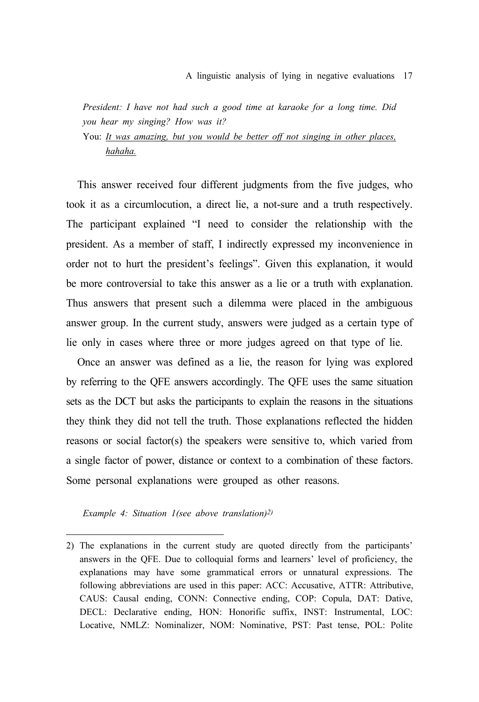*President: I have not had such a good time at karaoke for a long time. Did you hear my singing? How was it?*

### You: *It was amazing, but you would be better off not singing in other places, hahaha.*

This answer received four different judgments from the five judges, who took it as a circumlocution, a direct lie, a not-sure and a truth respectively. The participant explained "I need to consider the relationship with the president. As a member of staff, I indirectly expressed my inconvenience in order not to hurt the president's feelings". Given this explanation, it would be more controversial to take this answer as a lie or a truth with explanation. Thus answers that present such a dilemma were placed in the ambiguous answer group. In the current study, answers were judged as a certain type of lie only in cases where three or more judges agreed on that type of lie.

Once an answer was defined as a lie, the reason for lying was explored by referring to the QFE answers accordingly. The QFE uses the same situation sets as the DCT but asks the participants to explain the reasons in the situations they think they did not tell the truth. Those explanations reflected the hidden reasons or social factor(s) the speakers were sensitive to, which varied from a single factor of power, distance or context to a combination of these factors. Some personal explanations were grouped as other reasons.

*Example 4: Situation 1(see above translation)2)*

<sup>2)</sup> The explanations in the current study are quoted directly from the participants' answers in the QFE. Due to colloquial forms and learners' level of proficiency, the explanations may have some grammatical errors or unnatural expressions. The following abbreviations are used in this paper: ACC: Accusative, ATTR: Attributive, CAUS: Causal ending, CONN: Connective ending, COP: Copula, DAT: Dative, DECL: Declarative ending, HON: Honorific suffix, INST: Instrumental, LOC: Locative, NMLZ: Nominalizer, NOM: Nominative, PST: Past tense, POL: Polite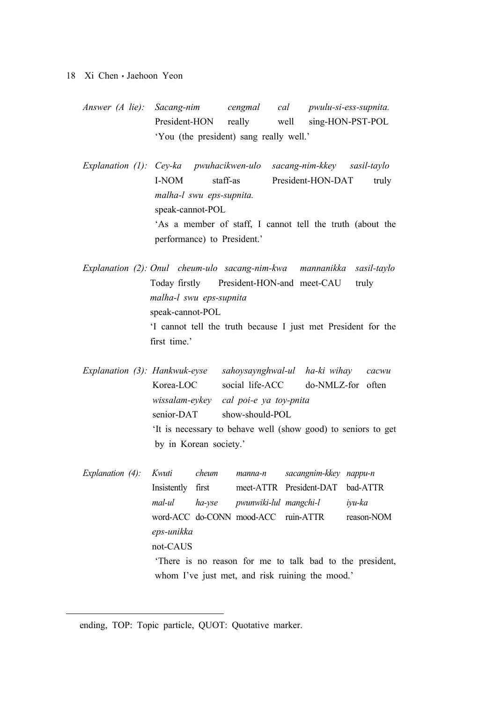- 18 Xi Chen Jaehoon Yeon
	- *Answer (A lie): Sacang-nim cengmal cal pwulu-si-ess-supnita.* President-HON really well sing-HON-PST-POL 'You (the president) sang really well.'
	- *Explanation (1): Cey-ka pwuhacikwen-ulo sacang-nim-kkey sasil-taylo* I-NOM staff-as President-HON-DAT truly *malha-l swu eps-supnita.* speak-cannot-POL 'As a member of staff, I cannot tell the truth (about the performance) to President.'
	- *Explanation (2): Onul cheum-ulo sacang-nim-kwa mannanikka sasil-taylo*  Today firstly President-HON-and meet-CAU truly *malha-l swu eps-supnita* speak-cannot-POL 'I cannot tell the truth because I just met President for the first time.'
	- *Explanation (3): Hankwuk-eyse sahoysaynghwal-ul ha-ki wihay cacwu*  Korea-LOC social life-ACC do-NMLZ-for often *wissalam-eykey cal poi-e ya toy-pnita* senior-DAT show-should-POL 'It is necessary to behave well (show good) to seniors to get by in Korean society.'
	- *Explanation (4): Kwuti cheum manna-n sacangnim-kkey nappu-n* Insistently first meet-ATTR President-DAT bad-ATTR *mal-ul ha-yse pwunwiki-lul mangchi-l iyu-ka* word-ACC do-CONN mood-ACC ruin-ATTR reason-NOM *eps-unikka* not-CAUS 'There is no reason for me to talk bad to the president, whom I've just met, and risk ruining the mood.'

ending, TOP: Topic particle, QUOT: Quotative marker.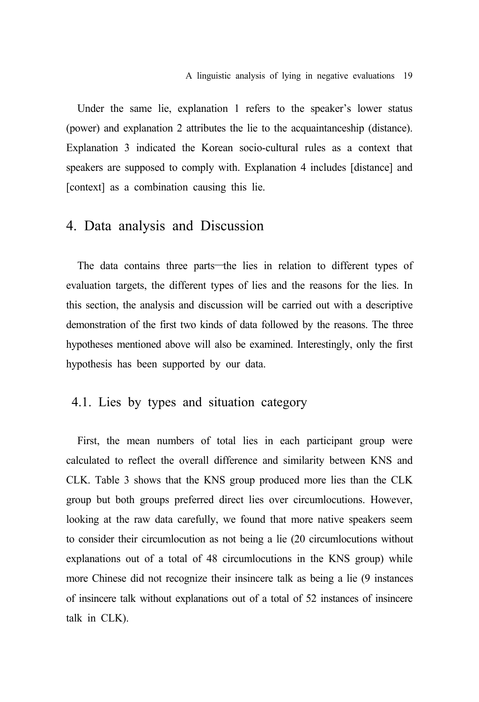Under the same lie, explanation 1 refers to the speaker's lower status (power) and explanation 2 attributes the lie to the acquaintanceship (distance). Explanation 3 indicated the Korean socio-cultural rules as a context that speakers are supposed to comply with. Explanation 4 includes [distance] and [context] as a combination causing this lie.

### 4. Data analysis and Discussion

The data contains three parts—the lies in relation to different types of evaluation targets, the different types of lies and the reasons for the lies. In this section, the analysis and discussion will be carried out with a descriptive demonstration of the first two kinds of data followed by the reasons. The three hypotheses mentioned above will also be examined. Interestingly, only the first hypothesis has been supported by our data.

### 4.1. Lies by types and situation category

First, the mean numbers of total lies in each participant group were calculated to reflect the overall difference and similarity between KNS and CLK. Table 3 shows that the KNS group produced more lies than the CLK group but both groups preferred direct lies over circumlocutions. However, looking at the raw data carefully, we found that more native speakers seem to consider their circumlocution as not being a lie (20 circumlocutions without explanations out of a total of 48 circumlocutions in the KNS group) while more Chinese did not recognize their insincere talk as being a lie (9 instances of insincere talk without explanations out of a total of 52 instances of insincere talk in CLK).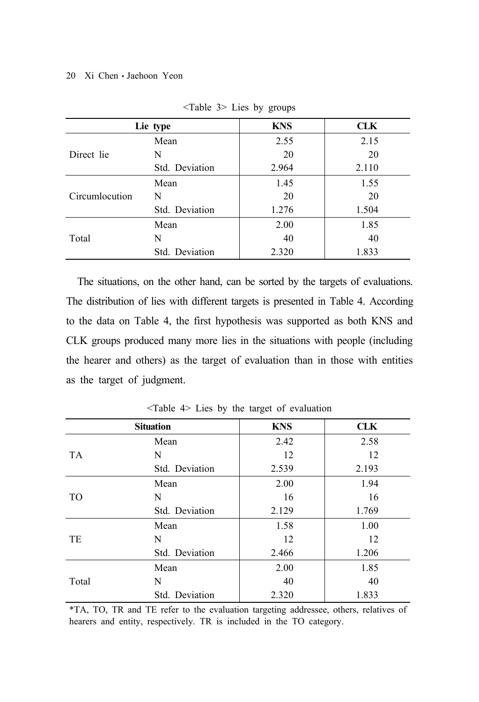|                | Lie type       | <b>KNS</b> | CLK   |
|----------------|----------------|------------|-------|
|                | Mean           | 2.55       | 2.15  |
| Direct lie     | N              | 20         | 20    |
|                | Std. Deviation | 2.964      | 2.110 |
|                | Mean           | 1.45       | 1.55  |
| Circumlocution | N              | 20         | 20    |
|                | Std. Deviation | 1.276      | 1.504 |
|                | Mean           | 2.00       | 1.85  |
| Total          | N              | 40         | 40    |
|                | Std. Deviation | 2.320      | 1.833 |

<Table 3> Lies by groups

The situations, on the other hand, can be sorted by the targets of evaluations. The distribution of lies with different targets is presented in Table 4. According to the data on Table 4, the first hypothesis was supported as both KNS and CLK groups produced many more lies in the situations with people (including the hearer and others) as the target of evaluation than in those with entities as the target of judgment.

|                | <b>Situation</b> | <b>KNS</b> | <b>CLK</b> |
|----------------|------------------|------------|------------|
|                | Mean             | 2.42       | 2.58       |
| <b>TA</b>      | N                | 12         | 12         |
|                | Std. Deviation   | 2.539      | 2.193      |
|                | Mean             | 2.00       | 1.94       |
| T <sub>O</sub> | N                | 16         | 16         |
|                | Std. Deviation   | 2.129      | 1.769      |
|                | Mean             | 1.58       | 1.00       |
| TE             | N                | 12         | 12         |
|                | Std. Deviation   | 2.466      | 1.206      |
| Total          | Mean             | 2.00       | 1.85       |
|                | N                | 40         | 40         |
|                | Std. Deviation   | 2.320      | 1.833      |

<Table 4> Lies by the target of evaluation

\*TA, TO, TR and TE refer to the evaluation targeting addressee, others, relatives of hearers and entity, respectively. TR is included in the TO category.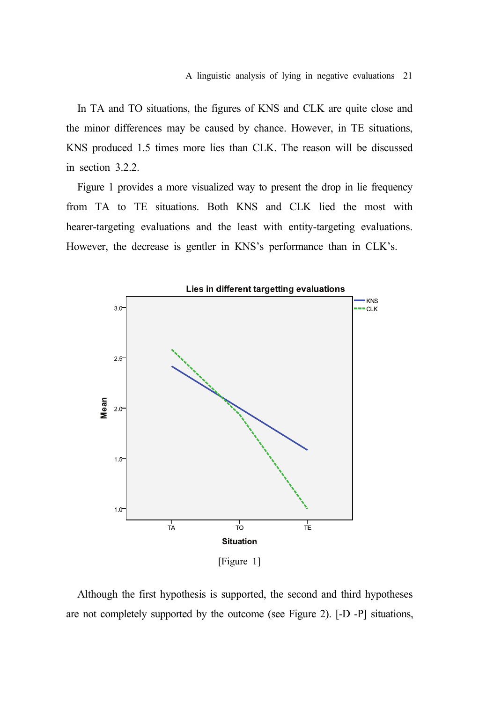In TA and TO situations, the figures of KNS and CLK are quite close and the minor differences may be caused by chance. However, in TE situations, KNS produced 1.5 times more lies than CLK. The reason will be discussed in section 3.2.2.

Figure 1 provides a more visualized way to present the drop in lie frequency from TA to TE situations. Both KNS and CLK lied the most with hearer-targeting evaluations and the least with entity-targeting evaluations. However, the decrease is gentler in KNS's performance than in CLK's.



Although the first hypothesis is supported, the second and third hypotheses are not completely supported by the outcome (see Figure 2). [-D -P] situations,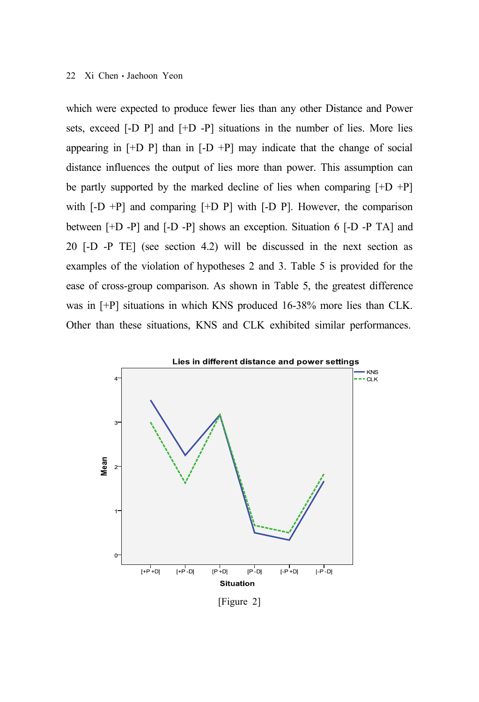which were expected to produce fewer lies than any other Distance and Power sets, exceed [-D P] and [+D -P] situations in the number of lies. More lies appearing in  $[+D \ P]$  than in  $[-D +P]$  may indicate that the change of social distance influences the output of lies more than power. This assumption can be partly supported by the marked decline of lies when comparing  $[+D +P]$ with  $[-D + P]$  and comparing  $[+D \ P]$  with  $[-D \ P]$ . However, the comparison between [+D -P] and [-D -P] shows an exception. Situation 6 [-D -P TA] and 20 [-D -P TE] (see section 4.2) will be discussed in the next section as examples of the violation of hypotheses 2 and 3. Table 5 is provided for the ease of cross-group comparison. As shown in Table 5, the greatest difference was in [+P] situations in which KNS produced 16-38% more lies than CLK. Other than these situations, KNS and CLK exhibited similar performances.



[Figure 2]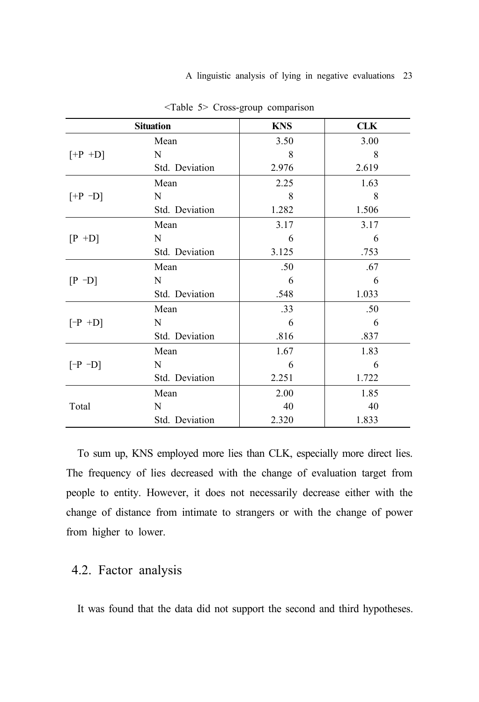| <b>Situation</b> |                | <b>KNS</b> | <b>CLK</b> |
|------------------|----------------|------------|------------|
|                  | Mean           | 3.50       | 3.00       |
| $[+P +D]$        | N              | 8          | 8          |
|                  | Std. Deviation | 2.976      | 2.619      |
|                  | Mean           | 2.25       | 1.63       |
| $[+P -D]$        | N              | 8          | 8          |
|                  | Std. Deviation | 1.282      | 1.506      |
|                  | Mean           | 3.17       | 3.17       |
| $[P + D]$        | N              | 6          | 6          |
|                  | Std. Deviation | 3.125      | .753       |
|                  | Mean           | .50        | .67        |
| $[P - D]$        | N              | 6          | 6          |
|                  | Std. Deviation | .548       | 1.033      |
|                  | Mean           | .33        | .50        |
| $[-P +D]$        | N              | 6          | 6          |
|                  | Std. Deviation | .816       | .837       |
|                  | Mean           | 1.67       | 1.83       |
| $[-P -D]$        | N              | 6          | 6          |
|                  | Std. Deviation | 2.251      | 1.722      |
|                  | Mean           | 2.00       | 1.85       |
| Total            | N              | 40         | 40         |
|                  | Std. Deviation | 2.320      | 1.833      |

<Table 5> Cross-group comparison

To sum up, KNS employed more lies than CLK, especially more direct lies. The frequency of lies decreased with the change of evaluation target from people to entity. However, it does not necessarily decrease either with the change of distance from intimate to strangers or with the change of power from higher to lower.

### 4.2. Factor analysis

It was found that the data did not support the second and third hypotheses.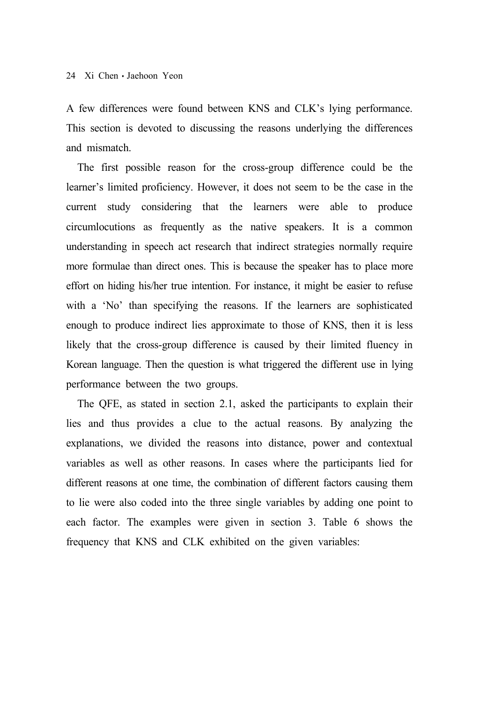A few differences were found between KNS and CLK's lying performance. This section is devoted to discussing the reasons underlying the differences and mismatch.

The first possible reason for the cross-group difference could be the learner's limited proficiency. However, it does not seem to be the case in the current study considering that the learners were able to produce circumlocutions as frequently as the native speakers. It is a common understanding in speech act research that indirect strategies normally require more formulae than direct ones. This is because the speaker has to place more effort on hiding his/her true intention. For instance, it might be easier to refuse with a 'No' than specifying the reasons. If the learners are sophisticated enough to produce indirect lies approximate to those of KNS, then it is less likely that the cross-group difference is caused by their limited fluency in Korean language. Then the question is what triggered the different use in lying performance between the two groups.

The QFE, as stated in section 2.1, asked the participants to explain their lies and thus provides a clue to the actual reasons. By analyzing the explanations, we divided the reasons into distance, power and contextual variables as well as other reasons. In cases where the participants lied for different reasons at one time, the combination of different factors causing them to lie were also coded into the three single variables by adding one point to each factor. The examples were given in section 3. Table 6 shows the frequency that KNS and CLK exhibited on the given variables: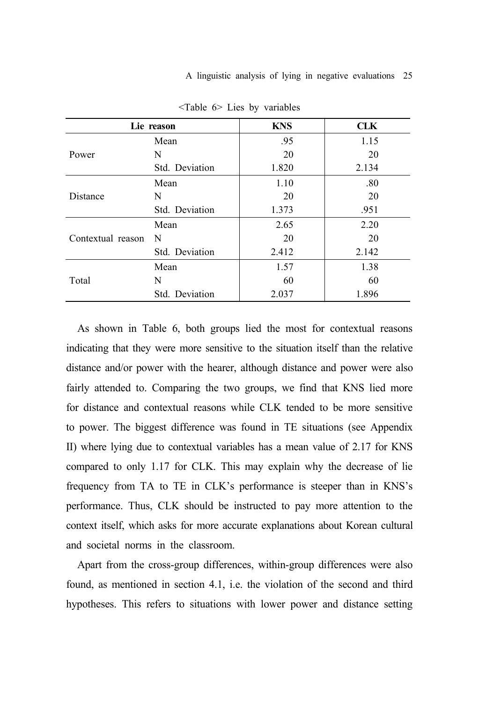|                   | Lie reason     | <b>KNS</b> | <b>CLK</b> |
|-------------------|----------------|------------|------------|
|                   | Mean           | .95        | 1.15       |
| Power             | N              | 20         | 20         |
|                   | Std. Deviation | 1.820      | 2.134      |
|                   | Mean           | 1.10       | .80        |
| Distance          | N              | 20         | 20         |
|                   | Std. Deviation | 1.373      | .951       |
|                   | Mean           | 2.65       | 2.20       |
| Contextual reason | N              | 20         | 20         |
|                   | Std. Deviation | 2.412      | 2.142      |
| Total             | Mean           | 1.57       | 1.38       |
|                   | N              | 60         | 60         |
|                   | Std. Deviation | 2.037      | 1.896      |

<Table 6> Lies by variables

As shown in Table 6, both groups lied the most for contextual reasons indicating that they were more sensitive to the situation itself than the relative distance and/or power with the hearer, although distance and power were also fairly attended to. Comparing the two groups, we find that KNS lied more for distance and contextual reasons while CLK tended to be more sensitive to power. The biggest difference was found in TE situations (see Appendix II) where lying due to contextual variables has a mean value of 2.17 for KNS compared to only 1.17 for CLK. This may explain why the decrease of lie frequency from TA to TE in CLK's performance is steeper than in KNS's performance. Thus, CLK should be instructed to pay more attention to the context itself, which asks for more accurate explanations about Korean cultural and societal norms in the classroom.

Apart from the cross-group differences, within-group differences were also found, as mentioned in section 4.1, i.e. the violation of the second and third hypotheses. This refers to situations with lower power and distance setting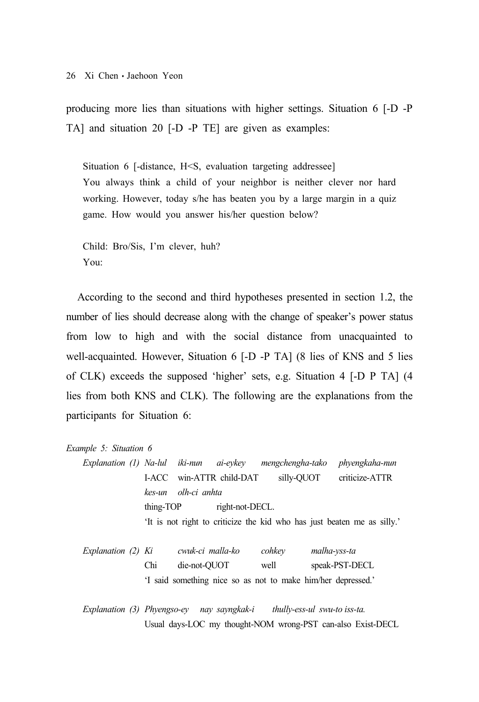producing more lies than situations with higher settings. Situation 6 [-D -P TA] and situation 20 [-D -P TE] are given as examples:

Situation 6 [-distance, H<S, evaluation targeting addressee] You always think a child of your neighbor is neither clever nor hard working. However, today s/he has beaten you by a large margin in a quiz game. How would you answer his/her question below?

Child: Bro/Sis, I'm clever, huh? You:

According to the second and third hypotheses presented in section 1.2, the number of lies should decrease along with the change of speaker's power status from low to high and with the social distance from unacquainted to well-acquainted. However, Situation 6 [-D -P TA] (8 lies of KNS and 5 lies of CLK) exceeds the supposed 'higher' sets, e.g. Situation 4 [-D P TA] (4 lies from both KNS and CLK). The following are the explanations from the participants for Situation 6:

#### *Example 5: Situation 6*

*Explanation (1) Na-lul iki-nun ai-eykey mengchengha-tako phyengkaha-nun*  I-ACC win-ATTR child-DAT silly-QUOT criticize-ATTR *kes-un olh-ci anhta* thing-TOP right-not-DECL. 'It is not right to criticize the kid who has just beaten me as silly.'

| Explanation (2) Ki |     | cwuk-ci malla-ko | cohkey | malha-vss-ta                                                |
|--------------------|-----|------------------|--------|-------------------------------------------------------------|
|                    | Chi | die-not-OUOT     | well   | speak-PST-DECL                                              |
|                    |     |                  |        | I said something nice so as not to make him/her depressed.' |

*Explanation (3) Phyengso-ey nay sayngkak-i thully-ess-ul swu-to iss-ta.*  Usual days-LOC my thought-NOM wrong-PST can-also Exist-DECL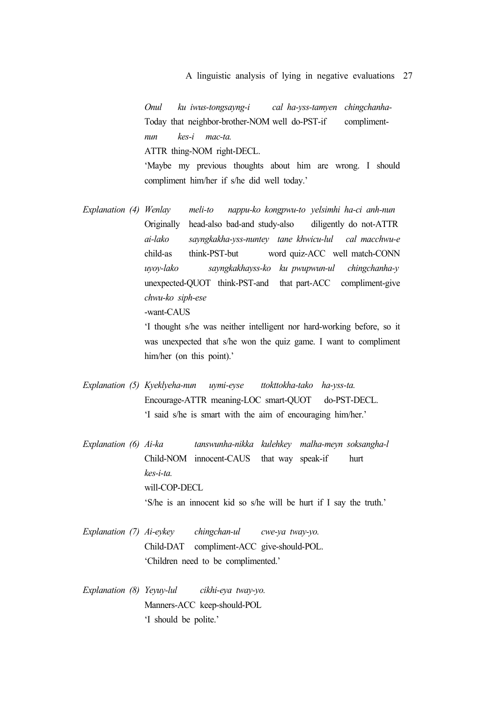*Onul ku iwus-tongsayng-i cal ha-yss-tamyen chingchanha-*Today that neighbor-brother-NOM well do-PST-if compliment*nun kes-i mac-ta.* ATTR thing-NOM right-DECL. 'Maybe my previous thoughts about him are wrong. I should compliment him/her if s/he did well today.'

*Explanation (4) Wenlay meli-to nappu-ko kongpwu-to yelsimhi ha-ci anh-nun*  Originally head-also bad-and study-also diligently do not-ATTR *ai-lako sayngkakha-yss-nuntey tane khwicu-lul cal macchwu-e* child-as think-PST-but word quiz-ACC well match-CONN *uyoy-lako sayngkakhayss-ko ku pwupwun-ul chingchanha-y*  unexpected-QUOT think-PST-and that part-ACC compliment-give *chwu-ko siph-ese* -want-CAUS

> 'I thought s/he was neither intelligent nor hard-working before, so it was unexpected that s/he won the quiz game. I want to compliment him/her (on this point).'

- *Explanation (5) Kyeklyeha-nun uymi-eyse ttokttokha-tako ha-yss-ta.* Encourage-ATTR meaning-LOC smart-QUOT do-PST-DECL. 'I said s/he is smart with the aim of encouraging him/her.'
- *Explanation (6) Ai-ka tanswunha-nikka kulehkey malha-meyn soksangha-l*  Child-NOM innocent-CAUS that way speak-if hurt *kes-i-ta.* will-COP-DECL 'S/he is an innocent kid so s/he will be hurt if I say the truth.'
- *Explanation (7) Ai-eykey chingchan-ul cwe-ya tway-yo.* Child-DAT compliment-ACC give-should-POL. 'Children need to be complimented.'
- *Explanation (8) Yeyuy-lul cikhi-eya tway-yo.* Manners-ACC keep-should-POL 'I should be polite.'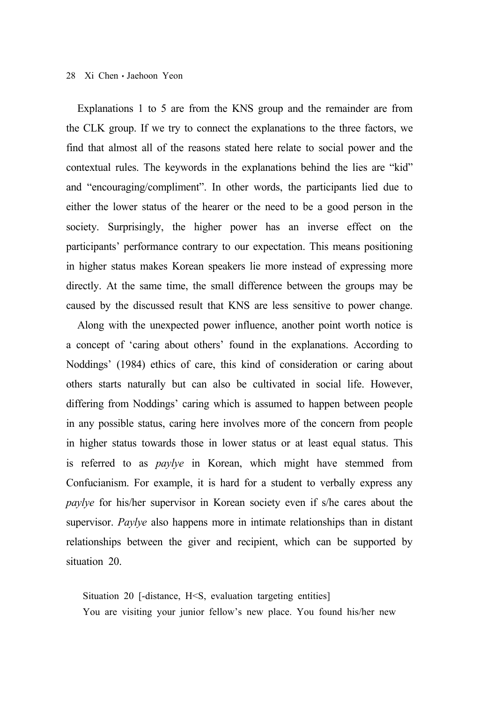Explanations 1 to 5 are from the KNS group and the remainder are from the CLK group. If we try to connect the explanations to the three factors, we find that almost all of the reasons stated here relate to social power and the contextual rules. The keywords in the explanations behind the lies are "kid" and "encouraging/compliment". In other words, the participants lied due to either the lower status of the hearer or the need to be a good person in the society. Surprisingly, the higher power has an inverse effect on the participants' performance contrary to our expectation. This means positioning in higher status makes Korean speakers lie more instead of expressing more directly. At the same time, the small difference between the groups may be caused by the discussed result that KNS are less sensitive to power change.

Along with the unexpected power influence, another point worth notice is a concept of 'caring about others' found in the explanations. According to Noddings' (1984) ethics of care, this kind of consideration or caring about others starts naturally but can also be cultivated in social life. However, differing from Noddings' caring which is assumed to happen between people in any possible status, caring here involves more of the concern from people in higher status towards those in lower status or at least equal status. This is referred to as *paylye* in Korean, which might have stemmed from Confucianism. For example, it is hard for a student to verbally express any *paylye* for his/her supervisor in Korean society even if s/he cares about the supervisor. *Paylye* also happens more in intimate relationships than in distant relationships between the giver and recipient, which can be supported by situation 20.

Situation 20 [-distance, H<S, evaluation targeting entities] You are visiting your junior fellow's new place. You found his/her new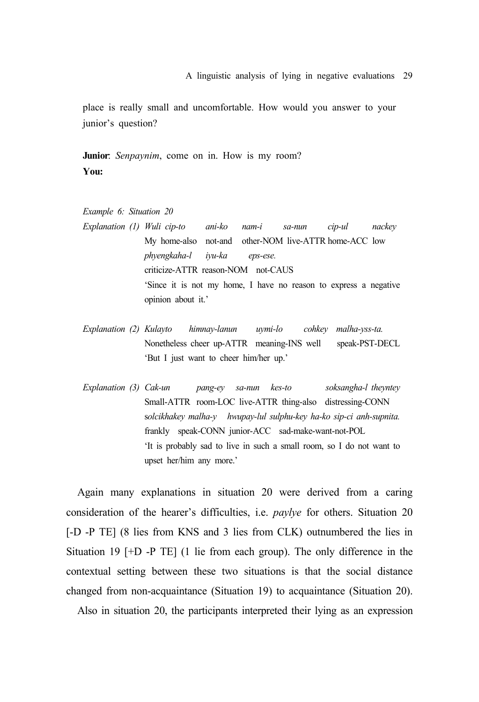place is really small and uncomfortable. How would you answer to your junior's question?

**Junior**: *Senpaynim*, come on in. How is my room? **You:**

*Example 6: Situation 20*

- *Explanation (1) Wuli cip-to ani-ko nam-i sa-nun cip-ul nackey*  My home-also not-and other-NOM live-ATTR home-ACC low *phyengkaha-l iyu-ka eps-ese.* criticize-ATTR reason-NOM not-CAUS 'Since it is not my home, I have no reason to express a negative opinion about it.'
- *Explanation (2) Kulayto himnay-lanun uymi-lo cohkey malha-yss-ta.* Nonetheless cheer up-ATTR meaning-INS well speak-PST-DECL 'But I just want to cheer him/her up.'
- *Explanation (3) Cak-un pang-ey sa-nun kes-to soksangha-l theyntey*  Small-ATTR room-LOC live-ATTR thing-also distressing-CONN s*olcikhakey malha-y hwupay-lul sulphu-key ha-ko sip-ci anh-supnita.* frankly speak-CONN junior-ACC sad-make-want-not-POL 'It is probably sad to live in such a small room, so I do not want to upset her/him any more.'

Again many explanations in situation 20 were derived from a caring consideration of the hearer's difficulties, i.e. *paylye* for others. Situation 20 [-D -P TE] (8 lies from KNS and 3 lies from CLK) outnumbered the lies in Situation 19 [+D -P TE] (1 lie from each group). The only difference in the contextual setting between these two situations is that the social distance changed from non-acquaintance (Situation 19) to acquaintance (Situation 20).

Also in situation 20, the participants interpreted their lying as an expression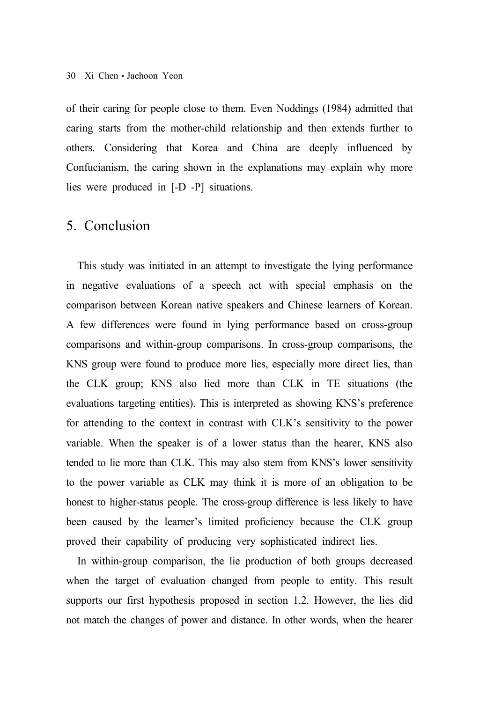of their caring for people close to them. Even Noddings (1984) admitted that caring starts from the mother-child relationship and then extends further to others. Considering that Korea and China are deeply influenced by Confucianism, the caring shown in the explanations may explain why more lies were produced in [-D -P] situations.

# 5. Conclusion

This study was initiated in an attempt to investigate the lying performance in negative evaluations of a speech act with special emphasis on the comparison between Korean native speakers and Chinese learners of Korean. A few differences were found in lying performance based on cross-group comparisons and within-group comparisons. In cross-group comparisons, the KNS group were found to produce more lies, especially more direct lies, than the CLK group; KNS also lied more than CLK in TE situations (the evaluations targeting entities). This is interpreted as showing KNS's preference for attending to the context in contrast with CLK's sensitivity to the power variable. When the speaker is of a lower status than the hearer, KNS also tended to lie more than CLK. This may also stem from KNS's lower sensitivity to the power variable as CLK may think it is more of an obligation to be honest to higher-status people. The cross-group difference is less likely to have been caused by the learner's limited proficiency because the CLK group proved their capability of producing very sophisticated indirect lies.

In within-group comparison, the lie production of both groups decreased when the target of evaluation changed from people to entity. This result supports our first hypothesis proposed in section 1.2. However, the lies did not match the changes of power and distance. In other words, when the hearer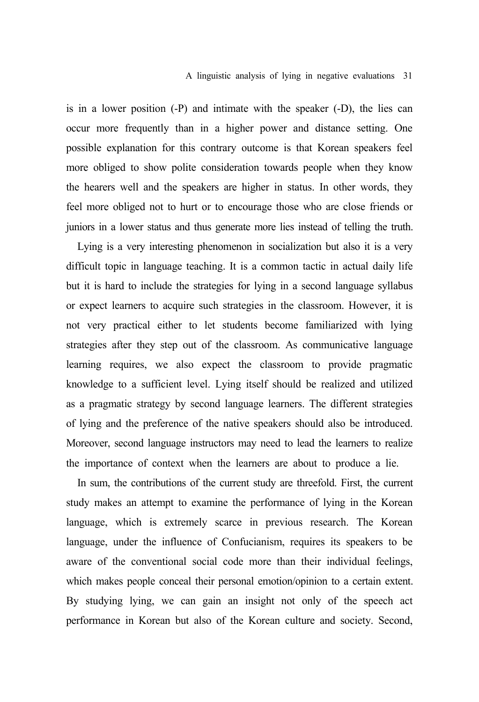### A linguistic analysis of lying in negative evaluations 31

is in a lower position (-P) and intimate with the speaker (-D), the lies can occur more frequently than in a higher power and distance setting. One possible explanation for this contrary outcome is that Korean speakers feel more obliged to show polite consideration towards people when they know the hearers well and the speakers are higher in status. In other words, they feel more obliged not to hurt or to encourage those who are close friends or juniors in a lower status and thus generate more lies instead of telling the truth.

Lying is a very interesting phenomenon in socialization but also it is a very difficult topic in language teaching. It is a common tactic in actual daily life but it is hard to include the strategies for lying in a second language syllabus or expect learners to acquire such strategies in the classroom. However, it is not very practical either to let students become familiarized with lying strategies after they step out of the classroom. As communicative language learning requires, we also expect the classroom to provide pragmatic knowledge to a sufficient level. Lying itself should be realized and utilized as a pragmatic strategy by second language learners. The different strategies of lying and the preference of the native speakers should also be introduced. Moreover, second language instructors may need to lead the learners to realize the importance of context when the learners are about to produce a lie.

In sum, the contributions of the current study are threefold. First, the current study makes an attempt to examine the performance of lying in the Korean language, which is extremely scarce in previous research. The Korean language, under the influence of Confucianism, requires its speakers to be aware of the conventional social code more than their individual feelings, which makes people conceal their personal emotion/opinion to a certain extent. By studying lying, we can gain an insight not only of the speech act performance in Korean but also of the Korean culture and society. Second,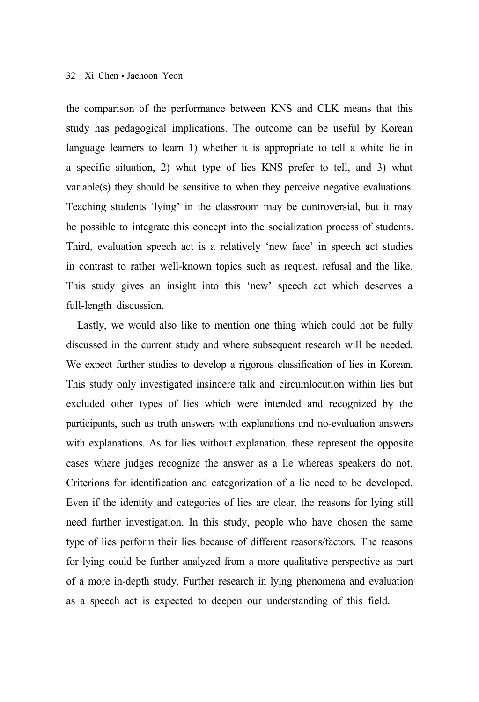the comparison of the performance between KNS and CLK means that this study has pedagogical implications. The outcome can be useful by Korean language learners to learn 1) whether it is appropriate to tell a white lie in a specific situation, 2) what type of lies KNS prefer to tell, and 3) what variable(s) they should be sensitive to when they perceive negative evaluations. Teaching students 'lying' in the classroom may be controversial, but it may be possible to integrate this concept into the socialization process of students. Third, evaluation speech act is a relatively 'new face' in speech act studies in contrast to rather well-known topics such as request, refusal and the like. This study gives an insight into this 'new' speech act which deserves a full-length discussion.

Lastly, we would also like to mention one thing which could not be fully discussed in the current study and where subsequent research will be needed. We expect further studies to develop a rigorous classification of lies in Korean. This study only investigated insincere talk and circumlocution within lies but excluded other types of lies which were intended and recognized by the participants, such as truth answers with explanations and no-evaluation answers with explanations. As for lies without explanation, these represent the opposite cases where judges recognize the answer as a lie whereas speakers do not. Criterions for identification and categorization of a lie need to be developed. Even if the identity and categories of lies are clear, the reasons for lying still need further investigation. In this study, people who have chosen the same type of lies perform their lies because of different reasons/factors. The reasons for lying could be further analyzed from a more qualitative perspective as part of a more in-depth study. Further research in lying phenomena and evaluation as a speech act is expected to deepen our understanding of this field.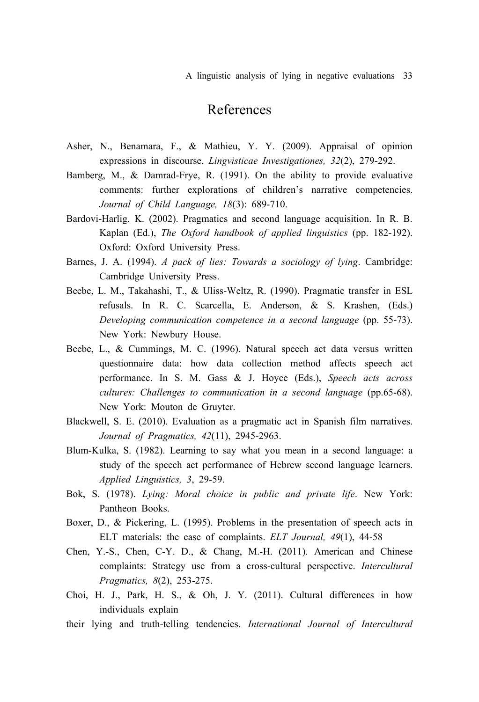A linguistic analysis of lying in negative evaluations 33

# References

- Asher, N., Benamara, F., & Mathieu, Y. Y. (2009). Appraisal of opinion expressions in discourse. *Lingvisticae Investigationes, 32*(2), 279-292.
- Bamberg, M., & Damrad-Frye, R. (1991). On the ability to provide evaluative comments: further explorations of children's narrative competencies. *Journal of Child Language, 18*(3): 689-710.
- Bardovi-Harlig, K. (2002). Pragmatics and second language acquisition. In R. B. Kaplan (Ed.), *The Oxford handbook of applied linguistics* (pp. 182-192). Oxford: Oxford University Press.
- Barnes, J. A. (1994). *A pack of lies: Towards a sociology of lying*. Cambridge: Cambridge University Press.
- Beebe, L. M., Takahashi, T., & Uliss-Weltz, R. (1990). Pragmatic transfer in ESL refusals. In R. C. Scarcella, E. Anderson, & S. Krashen, (Eds.) *Developing communication competence in a second language* (pp. 55-73). New York: Newbury House.
- Beebe, L., & Cummings, M. C. (1996). Natural speech act data versus written questionnaire data: how data collection method affects speech act performance. In S. M. Gass & J. Hoyce (Eds.), *Speech acts across cultures: Challenges to communication in a second language* (pp.65-68). New York: Mouton de Gruyter.
- Blackwell, S. E. (2010). Evaluation as a pragmatic act in Spanish film narratives. *Journal of Pragmatics, 42*(11), 2945-2963.
- Blum-Kulka, S. (1982). Learning to say what you mean in a second language: a study of the speech act performance of Hebrew second language learners. *Applied Linguistics, 3*, 29-59.
- Bok, S. (1978). *Lying: Moral choice in public and private life*. New York: Pantheon Books.
- Boxer, D., & Pickering, L. (1995). Problems in the presentation of speech acts in ELT materials: the case of complaints. *ELT Journal, 49*(1), 44-58
- Chen, Y.-S., Chen, C-Y. D., & Chang, M.-H. (2011). American and Chinese complaints: Strategy use from a cross-cultural perspective. *Intercultural Pragmatics, 8*(2), 253-275.
- Choi, H. J., Park, H. S., & Oh, J. Y. (2011). Cultural differences in how individuals explain
- their lying and truth-telling tendencies. *International Journal of Intercultural*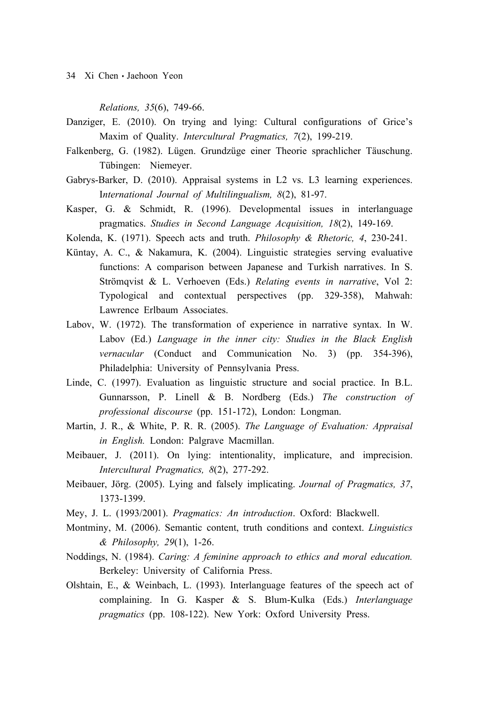*Relations, 35*(6), 749-66.

- Danziger, E. (2010). On trying and lying: Cultural configurations of Grice's Maxim of Quality. *Intercultural Pragmatics, 7*(2), 199-219.
- Falkenberg, G. (1982). Lügen. Grundzüge einer Theorie sprachlicher Täuschung. Tübingen: Niemeyer.
- Gabrys-Barker, D. (2010). Appraisal systems in L2 vs. L3 learning experiences. I*nternational Journal of Multilingualism, 8*(2), 81-97.
- Kasper, G. & Schmidt, R. (1996). Developmental issues in interlanguage pragmatics. *Studies in Second Language Acquisition, 18*(2), 149-169.
- Kolenda, K. (1971). Speech acts and truth. *Philosophy & Rhetoric, 4*, 230-241.
- Küntay, A. C., & Nakamura, K. (2004). Linguistic strategies serving evaluative functions: A comparison between Japanese and Turkish narratives. In S. Strömqvist & L. Verhoeven (Eds.) *Relating events in narrative*, Vol 2: Typological and contextual perspectives (pp. 329-358), Mahwah: Lawrence Erlbaum Associates.
- Labov, W. (1972). The transformation of experience in narrative syntax. In W. Labov (Ed.) *Language in the inner city: Studies in the Black English vernacular* (Conduct and Communication No. 3) (pp. 354-396), Philadelphia: University of Pennsylvania Press.
- Linde, C. (1997). Evaluation as linguistic structure and social practice. In B.L. Gunnarsson, P. Linell & B. Nordberg (Eds.) *The construction of professional discourse* (pp. 151-172), London: Longman.
- Martin, J. R., & White, P. R. R. (2005). *The Language of Evaluation: Appraisal in English.* London: Palgrave Macmillan.
- Meibauer, J. (2011). On lying: intentionality, implicature, and imprecision. *Intercultural Pragmatics, 8*(2), 277-292.
- Meibauer, Jörg. (2005). Lying and falsely implicating. *Journal of Pragmatics, 37*, 1373-1399.
- Mey, J. L. (1993/2001). *Pragmatics: An introduction*. Oxford: Blackwell.
- Montminy, M. (2006). Semantic content, truth conditions and context. *Linguistics & Philosophy, 29*(1), 1-26.
- Noddings, N. (1984). *Caring: A feminine approach to ethics and moral education.* Berkeley: University of California Press.
- Olshtain, E., & Weinbach, L. (1993). Interlanguage features of the speech act of complaining. In G. Kasper & S. Blum-Kulka (Eds.) *Interlanguage pragmatics* (pp. 108-122). New York: Oxford University Press.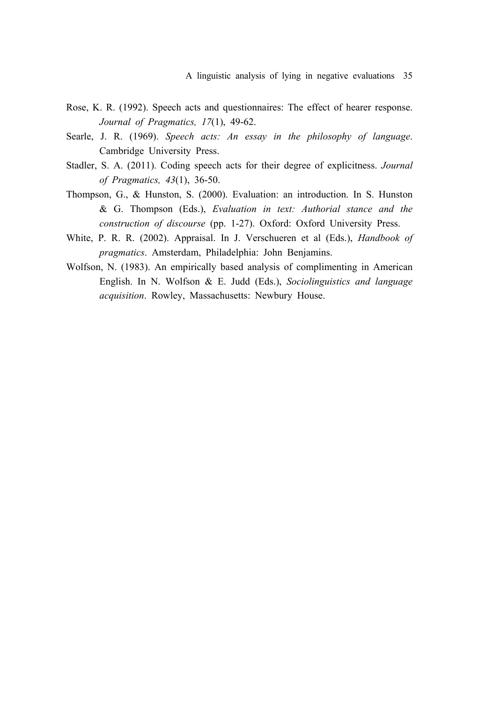- Rose, K. R. (1992). Speech acts and questionnaires: The effect of hearer response. *Journal of Pragmatics, 17*(1), 49-62.
- Searle, J. R. (1969). *Speech acts: An essay in the philosophy of language*. Cambridge University Press.
- Stadler, S. A. (2011). Coding speech acts for their degree of explicitness. *Journal of Pragmatics, 43*(1), 36-50.
- Thompson, G., & Hunston, S. (2000). Evaluation: an introduction. In S. Hunston & G. Thompson (Eds.), *Evaluation in text: Authorial stance and the construction of discourse* (pp. 1-27). Oxford: Oxford University Press.
- White, P. R. R. (2002). Appraisal. In J. Verschueren et al (Eds.), *Handbook of pragmatics*. Amsterdam, Philadelphia: John Benjamins.
- Wolfson, N. (1983). An empirically based analysis of complimenting in American English. In N. Wolfson & E. Judd (Eds.), *Sociolinguistics and language acquisition*. Rowley, Massachusetts: Newbury House.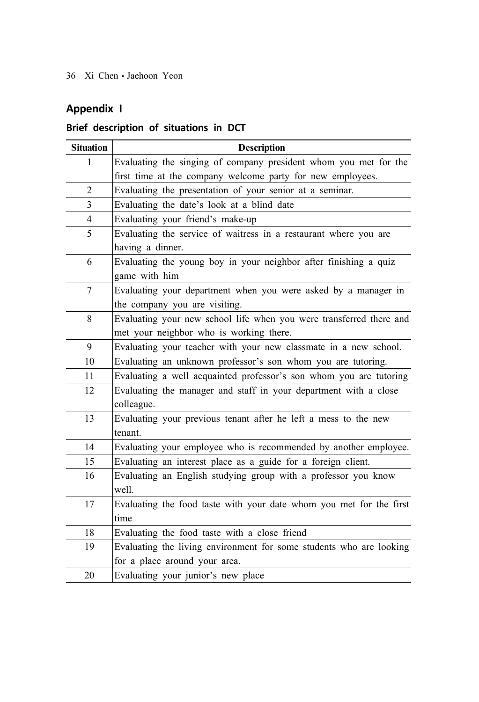# **Appendix I**

### **Brief description of situations in DCT**

| <b>Situation</b> | <b>Description</b>                                                  |
|------------------|---------------------------------------------------------------------|
| 1                | Evaluating the singing of company president whom you met for the    |
|                  | first time at the company welcome party for new employees.          |
| $\overline{2}$   | Evaluating the presentation of your senior at a seminar.            |
| 3                | Evaluating the date's look at a blind date                          |
| $\overline{4}$   | Evaluating your friend's make-up                                    |
| 5                | Evaluating the service of waitress in a restaurant where you are    |
|                  | having a dinner.                                                    |
| 6                | Evaluating the young boy in your neighbor after finishing a quiz    |
|                  | game with him                                                       |
| 7                | Evaluating your department when you were asked by a manager in      |
|                  | the company you are visiting.                                       |
| 8                | Evaluating your new school life when you were transferred there and |
|                  | met your neighbor who is working there.                             |
| 9                | Evaluating your teacher with your new classmate in a new school.    |
| 10               | Evaluating an unknown professor's son whom you are tutoring.        |
| 11               | Evaluating a well acquainted professor's son whom you are tutoring  |
| 12               | Evaluating the manager and staff in your department with a close    |
|                  | colleague.                                                          |
| 13               | Evaluating your previous tenant after he left a mess to the new     |
|                  | tenant.                                                             |
| 14               | Evaluating your employee who is recommended by another employee.    |
| 15               | Evaluating an interest place as a guide for a foreign client.       |
| 16               | Evaluating an English studying group with a professor you know      |
|                  | well.                                                               |
| 17               | Evaluating the food taste with your date whom you met for the first |
|                  | time                                                                |
| 18               | Evaluating the food taste with a close friend                       |
| 19               | Evaluating the living environment for some students who are looking |
|                  | for a place around your area.                                       |
| 20               | Evaluating your junior's new place                                  |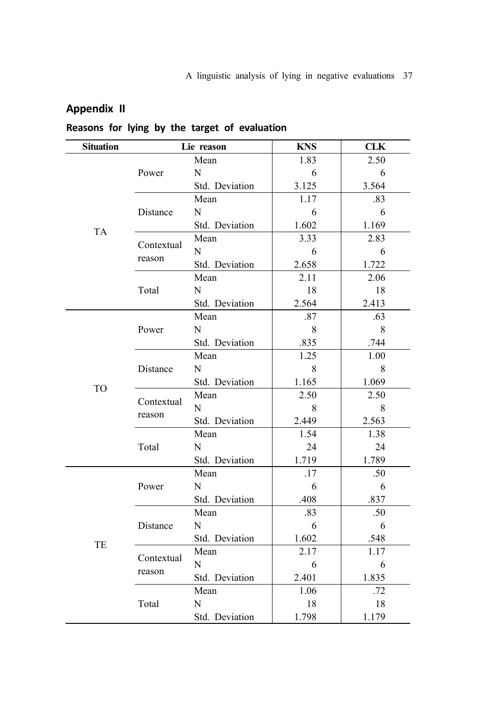### **Appendix II**

### **Reasons for lying by the target of evaluation**

| <b>Situation</b> | Lie reason |                | <b>KNS</b> | <b>CLK</b> |
|------------------|------------|----------------|------------|------------|
|                  |            | Mean           | 1.83       | 2.50       |
|                  | Power      | N              | 6          | 6          |
|                  |            | Std. Deviation | 3.125      | 3.564      |
|                  |            | Mean           | 1.17       | .83        |
|                  | Distance   | N              | -6         | 6          |
| <b>TA</b>        |            | Std. Deviation | 1.602      | 1.169      |
|                  | Contextual | Mean           | 3.33       | 2.83       |
|                  | reason     | N              | -6         | 6          |
|                  |            | Std. Deviation | 2.658      | 1.722      |
|                  |            | Mean           | 2.11       | 2.06       |
|                  | Total      | N              | 18         | 18         |
|                  |            | Std. Deviation | 2.564      | 2.413      |
|                  |            | Mean           | .87        | .63        |
|                  | Power      | N              | 8          | 8          |
|                  |            | Std. Deviation | .835       | .744       |
|                  | Distance   | Mean           | 1.25       | 1.00       |
|                  |            | N              | 8          | 8          |
| <b>TO</b>        |            | Std. Deviation | 1.165      | 1.069      |
|                  | Contextual | Mean           | 2.50       | 2.50       |
|                  |            | N              | 8          | 8          |
|                  | reason     | Std. Deviation | 2.449      | 2.563      |
|                  | Total      | Mean           | 1.54       | 1.38       |
|                  |            | N              | 24         | 24         |
|                  |            | Std. Deviation | 1.719      | 1.789      |
|                  |            | Mean           | .17        | .50        |
|                  | Power      | ${\bf N}$      | - 6        | 6          |
|                  |            | Std. Deviation | .408       | .837       |
|                  |            | Mean           | .83        | .50        |
| TE               | Distance   | N              | - 6        | 6          |
|                  |            | Std. Deviation | 1.602      | .548       |
|                  | Contextual | Mean           | 2.17       | 1.17       |
|                  | reason     | N              | 6          | 6          |
|                  |            | Std. Deviation | 2.401      | 1.835      |
|                  |            | Mean           | 1.06       | .72        |
|                  | Total      | N              | 18         | 18         |
|                  |            | Std. Deviation | 1.798      | 1.179      |